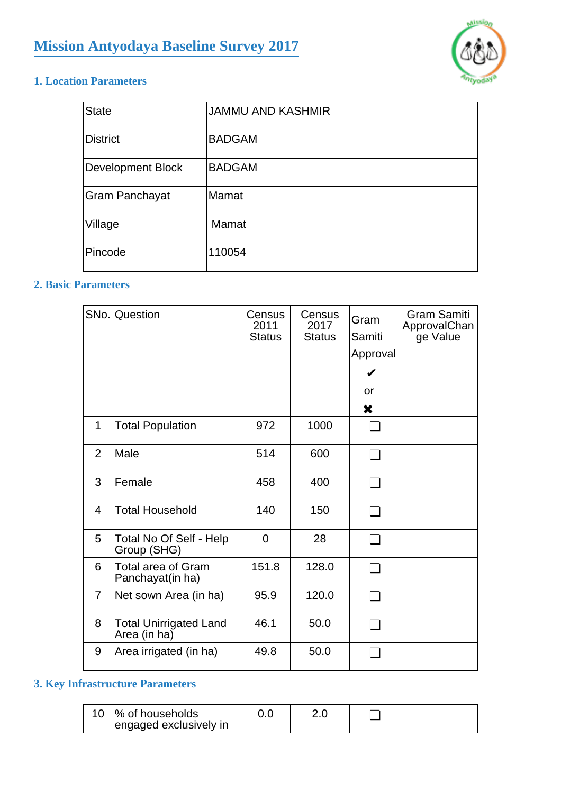

### **1. Location Parameters**

| <b>State</b>             | <b>JAMMU AND KASHMIR</b> |
|--------------------------|--------------------------|
| <b>District</b>          | <b>BADGAM</b>            |
| <b>Development Block</b> | <b>BADGAM</b>            |
| Gram Panchayat           | Mamat                    |
| Village                  | Mamat                    |
| Pincode                  | 110054                   |

### **2. Basic Parameters**

|                | SNo. Question                                 | Census<br>2011<br><b>Status</b> | Census<br>2017<br><b>Status</b> | Gram<br>Samiti<br>Approval<br>V<br>or<br>X | <b>Gram Samiti</b><br>ApprovalChan<br>ge Value |
|----------------|-----------------------------------------------|---------------------------------|---------------------------------|--------------------------------------------|------------------------------------------------|
| $\mathbf 1$    | <b>Total Population</b>                       | 972                             | 1000                            |                                            |                                                |
| 2              | Male                                          | 514                             | 600                             | ∩                                          |                                                |
| 3              | Female                                        | 458                             | 400                             | □                                          |                                                |
| 4              | <b>Total Household</b>                        | 140                             | 150                             | $\Box$                                     |                                                |
| 5              | Total No Of Self - Help<br>Group (SHG)        | $\mathbf 0$                     | 28                              | ∩                                          |                                                |
| 6              | <b>Total area of Gram</b><br>Panchayat(in ha) | 151.8                           | 128.0                           | ∩                                          |                                                |
| $\overline{7}$ | Net sown Area (in ha)                         | 95.9                            | 120.0                           | ⊓                                          |                                                |
| 8              | <b>Total Unirrigated Land</b><br>Area (in ha) | 46.1                            | 50.0                            | ❏                                          |                                                |
| 9              | Area irrigated (in ha)                        | 49.8                            | 50.0                            | ⊓                                          |                                                |

## **3. Key Infrastructure Parameters**

|  | <b>1% of households</b><br>engaged exclusively in |  |  |  |  |
|--|---------------------------------------------------|--|--|--|--|
|--|---------------------------------------------------|--|--|--|--|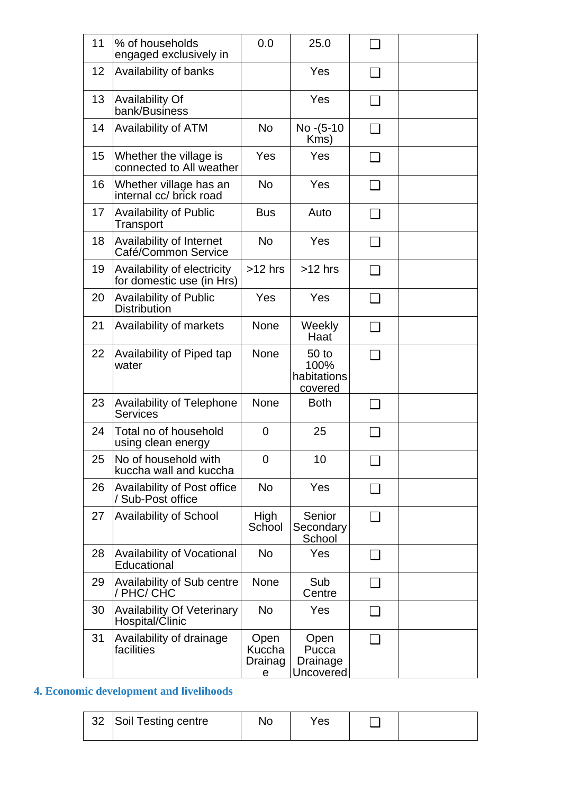| 11 | % of households<br>engaged exclusively in                | 0.0                            | 25.0                                    |        |  |
|----|----------------------------------------------------------|--------------------------------|-----------------------------------------|--------|--|
| 12 | Availability of banks                                    |                                | Yes                                     | ❏      |  |
| 13 | <b>Availability Of</b><br>bank/Business                  |                                | Yes                                     | $\Box$ |  |
| 14 | <b>Availability of ATM</b>                               | <b>No</b>                      | No - (5-10<br>Kms)                      | ❏      |  |
| 15 | Whether the village is<br>connected to All weather       | Yes                            | Yes                                     | ❏      |  |
| 16 | Whether village has an<br>internal cc/ brick road        | <b>No</b>                      | Yes                                     | ❏      |  |
| 17 | <b>Availability of Public</b><br>Transport               | <b>Bus</b>                     | Auto                                    | ❏      |  |
| 18 | Availability of Internet<br>Café/Common Service          | <b>No</b>                      | Yes                                     | ❏      |  |
| 19 | Availability of electricity<br>for domestic use (in Hrs) | $>12$ hrs                      | $>12$ hrs                               | ❏      |  |
| 20 | <b>Availability of Public</b><br><b>Distribution</b>     | Yes                            | Yes                                     | ❏      |  |
| 21 | Availability of markets                                  | <b>None</b>                    | Weekly<br>Haat                          | ❏      |  |
| 22 | Availability of Piped tap<br>water                       | <b>None</b>                    | 50 to<br>100%<br>habitations<br>covered | ┓      |  |
| 23 | <b>Availability of Telephone</b><br><b>Services</b>      | <b>None</b>                    | <b>Both</b>                             | ❏      |  |
| 24 | Total no of household<br>using clean energy              | $\overline{0}$                 | 25                                      | ப      |  |
| 25 | No of household with<br>kuccha wall and kuccha           | 0                              | 10                                      |        |  |
| 26 | Availability of Post office<br>/ Sub-Post office         | <b>No</b>                      | Yes                                     | ப      |  |
| 27 | <b>Availability of School</b>                            | High<br>School                 | Senior<br>Secondary<br>School           | ❏      |  |
| 28 | Availability of Vocational<br>Educational                | No.                            | Yes                                     | ப      |  |
| 29 | <b>Availability of Sub centre</b><br>/ PHC/ CHC          | <b>None</b>                    | Sub<br>Centre                           | ப      |  |
| 30 | <b>Availability Of Veterinary</b><br>Hospital/Clinic     | <b>No</b>                      | Yes                                     | ⊔      |  |
| 31 | Availability of drainage<br>facilities                   | Open<br>Kuccha<br>Drainag<br>е | Open<br>Pucca<br>Drainage<br>Uncovered  | ❏      |  |

# **4. Economic development and livelihoods**

| 32 Soil Testing centre | Nο | Yes |  |
|------------------------|----|-----|--|
|                        |    |     |  |